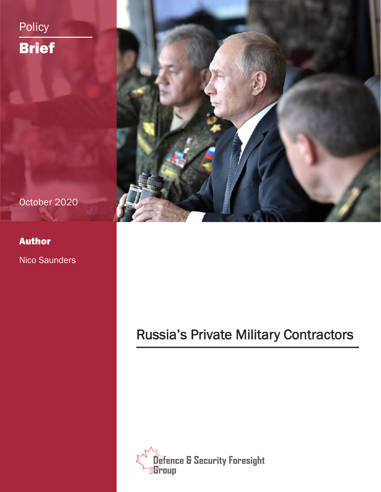# Policy Brief



# October 2020

## Author

Nico Saunders

# Russia's Private Military Contractors

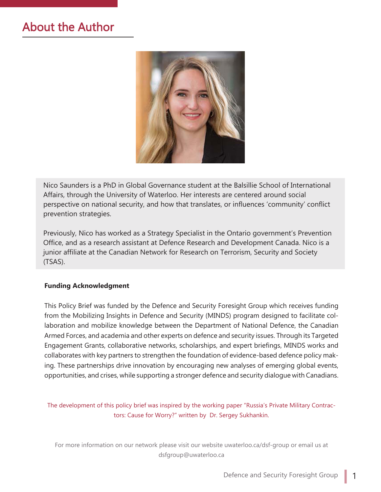# About the Author



Nico Saunders is a PhD in Global Governance student at the Balsillie School of International Affairs, through the University of Waterloo. Her interests are centered around social perspective on national security, and how that translates, or influences 'community' conflict prevention strategies.

Previously, Nico has worked as a Strategy Specialist in the Ontario government's Prevention Office, and as a research assistant at Defence Research and Development Canada. Nico is a junior affiliate at the Canadian Network for Research on Terrorism, Security and Society (TSAS).

#### **Funding Acknowledgment**

This Policy Brief was funded by the Defence and Security Foresight Group which receives funding from the Mobilizing Insights in Defence and Security (MINDS) program designed to facilitate collaboration and mobilize knowledge between the Department of National Defence, the Canadian Armed Forces, and academia and other experts on defence and security issues. Through its Targeted Engagement Grants, collaborative networks, scholarships, and expert briefings, MINDS works and collaborates with key partners to strengthen the foundation of evidence-based defence policy making. These partnerships drive innovation by encouraging new analyses of emerging global events, opportunities, and crises, while supporting a stronger defence and security dialogue with Canadians.

The development of this policy brief was inspired by the working paper "Russia's Private Military Contractors: Cause for Worry?" written by Dr. Sergey Sukhankin.

For more information on our network please visit our website uwaterloo.ca/dsf-group or email us at dsfgroup@uwaterloo.ca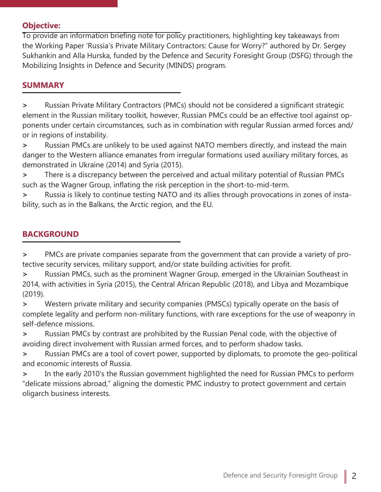#### **Objective:**

To provide an information briefing note for policy practitioners, highlighting key takeaways from the Working Paper 'Russia's Private Military Contractors: Cause for Worry?" authored by Dr. Sergey Sukhankin and Alla Hurska, funded by the Defence and Security Foresight Group (DSFG) through the Mobilizing Insights in Defence and Security (MINDS) program.

### **SUMMARY**

**>** Russian Private Military Contractors (PMCs) should not be considered a significant strategic element in the Russian military toolkit, however, Russian PMCs could be an effective tool against opponents under certain circumstances, such as in combination with regular Russian armed forces and/ or in regions of instability.

**>** Russian PMCs are unlikely to be used against NATO members directly, and instead the main danger to the Western alliance emanates from irregular formations used auxiliary military forces, as demonstrated in Ukraine (2014) and Syria (2015).

**>** There is a discrepancy between the perceived and actual military potential of Russian PMCs such as the Wagner Group, inflating the risk perception in the short-to-mid-term.

**>** Russia is likely to continue testing NATO and its allies through provocations in zones of instability, such as in the Balkans, the Arctic region, and the EU.

#### **BACKGROUND**

**>** PMCs are private companies separate from the government that can provide a variety of protective security services, military support, and/or state building activities for profit.

**>** Russian PMCs, such as the prominent Wagner Group, emerged in the Ukrainian Southeast in 2014, with activities in Syria (2015), the Central African Republic (2018), and Libya and Mozambique (2019).

**>** Western private military and security companies (PMSCs) typically operate on the basis of complete legality and perform non-military functions, with rare exceptions for the use of weaponry in self-defence missions.

**>** Russian PMCs by contrast are prohibited by the Russian Penal code, with the objective of avoiding direct involvement with Russian armed forces, and to perform shadow tasks.

**>** Russian PMCs are a tool of covert power, supported by diplomats, to promote the geo-political and economic interests of Russia.

**>** In the early 2010's the Russian government highlighted the need for Russian PMCs to perform "delicate missions abroad," aligning the domestic PMC industry to protect government and certain oligarch business interests.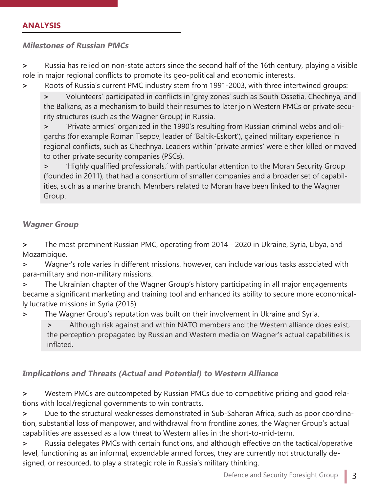#### **ANALYSIS**

#### **Milestones of Russian PMCs**

**>** Russia has relied on non-state actors since the second half of the 16th century, playing a visible role in major regional conflicts to promote its geo-political and economic interests.

**>** Roots of Russia's current PMC industry stem from 1991-2003, with three intertwined groups:

**>** Volunteers' participated in conflicts in 'grey zones' such as South Ossetia, Chechnya, and the Balkans, as a mechanism to build their resumes to later join Western PMCs or private security structures (such as the Wagner Group) in Russia.

**>** 'Private armies' organized in the 1990's resulting from Russian criminal webs and oligarchs (for example Roman Tsepov, leader of 'Baltik-Eskort'), gained military experience in regional conflicts, such as Chechnya. Leaders within 'private armies' were either killed or moved to other private security companies (PSCs).

**>** 'Highly qualified professionals,' with particular attention to the Moran Security Group (founded in 2011), that had a consortium of smaller companies and a broader set of capabilities, such as a marine branch. Members related to Moran have been linked to the Wagner Group.

#### **Wagner Group**

**>** The most prominent Russian PMC, operating from 2014 - 2020 in Ukraine, Syria, Libya, and Mozambique.

**>** Wagner's role varies in different missions, however, can include various tasks associated with para-military and non-military missions.

**>** The Ukrainian chapter of the Wagner Group's history participating in all major engagements became a significant marketing and training tool and enhanced its ability to secure more economically lucrative missions in Syria (2015).

**>** The Wagner Group's reputation was built on their involvement in Ukraine and Syria.

**>** Although risk against and within NATO members and the Western alliance does exist, the perception propagated by Russian and Western media on Wagner's actual capabilities is inflated.

#### **Implications and Threats (Actual and Potential) to Western Alliance**

**>** Western PMCs are outcompeted by Russian PMCs due to competitive pricing and good relations with local/regional governments to win contracts.

**>** Due to the structural weaknesses demonstrated in Sub-Saharan Africa, such as poor coordination, substantial loss of manpower, and withdrawal from frontline zones, the Wagner Group's actual capabilities are assessed as a low threat to Western allies in the short-to-mid-term.

**>** Russia delegates PMCs with certain functions, and although effective on the tactical/operative level, functioning as an informal, expendable armed forces, they are currently not structurally designed, or resourced, to play a strategic role in Russia's military thinking.